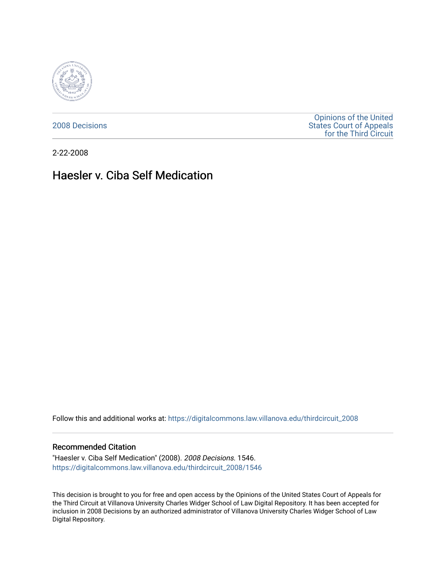

[2008 Decisions](https://digitalcommons.law.villanova.edu/thirdcircuit_2008)

[Opinions of the United](https://digitalcommons.law.villanova.edu/thirdcircuit)  [States Court of Appeals](https://digitalcommons.law.villanova.edu/thirdcircuit)  [for the Third Circuit](https://digitalcommons.law.villanova.edu/thirdcircuit) 

2-22-2008

# Haesler v. Ciba Self Medication

Follow this and additional works at: [https://digitalcommons.law.villanova.edu/thirdcircuit\\_2008](https://digitalcommons.law.villanova.edu/thirdcircuit_2008?utm_source=digitalcommons.law.villanova.edu%2Fthirdcircuit_2008%2F1546&utm_medium=PDF&utm_campaign=PDFCoverPages) 

#### Recommended Citation

"Haesler v. Ciba Self Medication" (2008). 2008 Decisions. 1546. [https://digitalcommons.law.villanova.edu/thirdcircuit\\_2008/1546](https://digitalcommons.law.villanova.edu/thirdcircuit_2008/1546?utm_source=digitalcommons.law.villanova.edu%2Fthirdcircuit_2008%2F1546&utm_medium=PDF&utm_campaign=PDFCoverPages) 

This decision is brought to you for free and open access by the Opinions of the United States Court of Appeals for the Third Circuit at Villanova University Charles Widger School of Law Digital Repository. It has been accepted for inclusion in 2008 Decisions by an authorized administrator of Villanova University Charles Widger School of Law Digital Repository.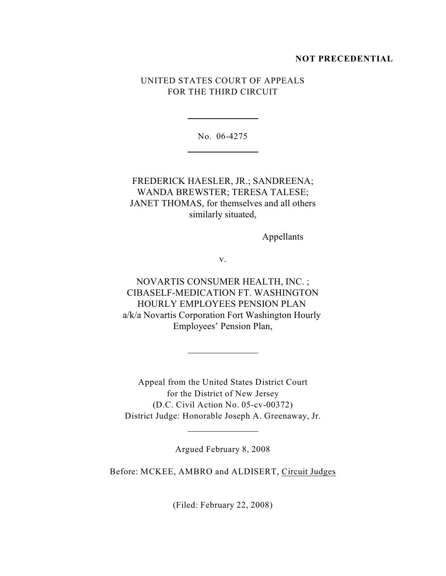### **NOT PRECEDENTIAL**

## UNITED STATES COURT OF APPEALS FOR THE THIRD CIRCUIT

No. 06-4275

l

l

l

l

## FREDERICK HAESLER, JR.; SANDREENA; WANDA BREWSTER; TERESA TALESE; JANET THOMAS, for themselves and all others similarly situated,

Appellants

v.

NOVARTIS CONSUMER HEALTH, INC. ; CIBASELF-MEDICATION FT. WASHINGTON HOURLY EMPLOYEES PENSION PLAN a/k/a Novartis Corporation Fort Washington Hourly Employees' Pension Plan,

Appeal from the United States District Court for the District of New Jersey (D.C. Civil Action No. 05-cv-00372) District Judge: Honorable Joseph A. Greenaway, Jr.

Argued February 8, 2008

Before: MCKEE, AMBRO and ALDISERT, Circuit Judges

(Filed: February 22, 2008)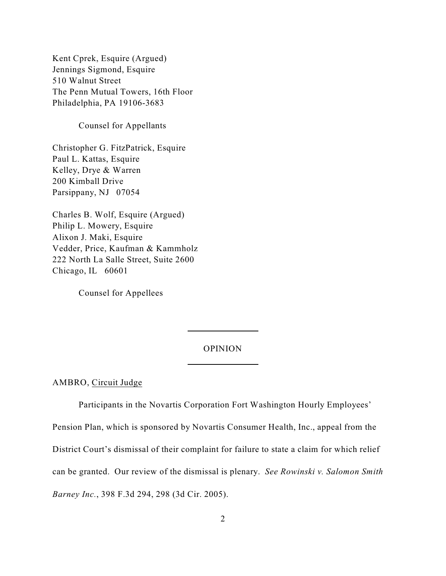Kent Cprek, Esquire (Argued) Jennings Sigmond, Esquire 510 Walnut Street The Penn Mutual Towers, 16th Floor Philadelphia, PA 19106-3683

Counsel for Appellants

Christopher G. FitzPatrick, Esquire Paul L. Kattas, Esquire Kelley, Drye & Warren 200 Kimball Drive Parsippany, NJ 07054

Charles B. Wolf, Esquire (Argued) Philip L. Mowery, Esquire Alixon J. Maki, Esquire Vedder, Price, Kaufman & Kammholz 222 North La Salle Street, Suite 2600 Chicago, IL 60601

Counsel for Appellees

## OPINION

 $\overline{a}$ 

 $\overline{a}$ 

AMBRO, Circuit Judge

Participants in the Novartis Corporation Fort Washington Hourly Employees'

Pension Plan, which is sponsored by Novartis Consumer Health, Inc., appeal from the

District Court's dismissal of their complaint for failure to state a claim for which relief

can be granted. Our review of the dismissal is plenary. *See Rowinski v. Salomon Smith*

*Barney Inc.*, 398 F.3d 294, 298 (3d Cir. 2005).